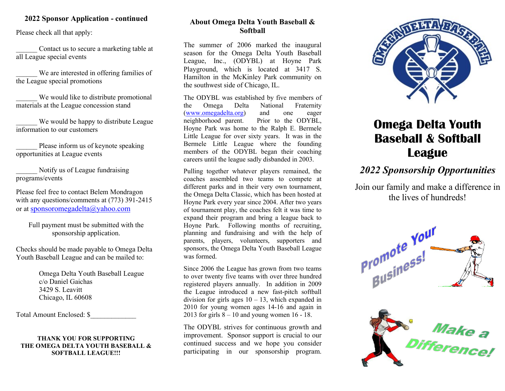#### 2022 Sponsor Application - continued

Please check all that apply:

Contact us to secure a marketing table at all League special events

We are interested in offering families of the League special promotions

We would like to distribute promotional materials at the League concession stand

We would be happy to distribute League information to our customers

Please inform us of keynote speaking opportunities at League events

Notify us of League fundraising programs/events

Please feel free to contact Belem Mondragon with any questions/comments at (773) 391-2415 or at sponsoromegadelta@yahoo.com

Full payment must be submitted with the sponsorship application.

Checks should be made payable to Omega Delta Youth Baseball League and can be mailed to:

> Omega Delta Youth Baseball League c/o Daniel Gaichas 3429 S. Leavitt Chicago, IL 60608

Total Amount Enclosed: \$\_\_\_\_\_\_\_\_\_\_\_\_\_

THANK YOU FOR SUPPORTING THE OMEGA DELTA YOUTH BASEBALL & SOFTBALL LEAGUE!!!

#### About Omega Delta Youth Baseball & **Softball**

The summer of 2006 marked the inaugural season for the Omega Delta Youth Baseball League, Inc., (ODYBL) at Hoyne Park Playground, which is located at 3417 S. Hamilton in the McKinley Park community on the southwest side of Chicago, IL.

The ODYBL was established by five members of the Omega Delta National Fraternity (www.omegadelta.org) and one eager neighborhood parent. Prior to the ODYBL, Hoyne Park was home to the Ralph E. Bermele Little League for over sixty years. It was in the Bermele Little League where the founding members of the ODYBL began their coaching careers until the league sadly disbanded in 2003.

Pulling together whatever players remained, the coaches assembled two teams to compete at different parks and in their very own tournament, the Omega Delta Classic, which has been hosted at Hoyne Park every year since 2004. After two years of tournament play, the coaches felt it was time to expand their program and bring a league back to Hoyne Park. Following months of recruiting, planning and fundraising and with the help of parents, players, volunteers, supporters and sponsors, the Omega Delta Youth Baseball League was formed.

Since 2006 the League has grown from two teams to over twenty five teams with over three hundred registered players annually. In addition in 2009 the League introduced a new fast-pitch softball division for girls ages  $10 - 13$ , which expanded in 2010 for young women ages 14-16 and again in 2013 for girls  $8 - 10$  and young women 16 - 18.

The ODYBL strives for continuous growth and improvement. Sponsor support is crucial to our continued success and we hope you consider participating in our sponsorship program.



# Omega Delta Youth Baseball & Softball Executive Correction Omega Delta Youth

### $\overline{\phantom{a}}$ 2022 Sponsorship Opportunities

Join our family and make a difference in the lives of hundreds!